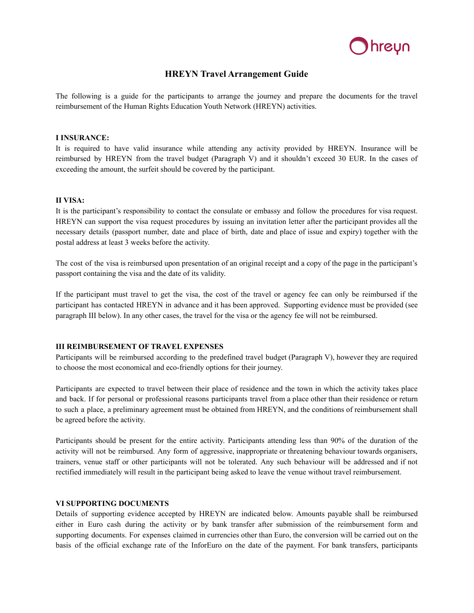

# **HREYN Travel Arrangement Guide**

The following is a guide for the participants to arrange the journey and prepare the documents for the travel reimbursement of the Human Rights Education Youth Network (HREYN) activities.

### **I INSURANCE:**

It is required to have valid insurance while attending any activity provided by HREYN. Insurance will be reimbursed by HREYN from the travel budget (Paragraph V) and it shouldn't exceed 30 EUR. In the cases of exceeding the amount, the surfeit should be covered by the participant.

### **II VISA:**

It is the participant's responsibility to contact the consulate or embassy and follow the procedures for visa request. HREYN can support the visa request procedures by issuing an invitation letter after the participant provides all the necessary details (passport number, date and place of birth, date and place of issue and expiry) together with the postal address at least 3 weeks before the activity.

The cost of the visa is reimbursed upon presentation of an original receipt and a copy of the page in the participant's passport containing the visa and the date of its validity.

If the participant must travel to get the visa, the cost of the travel or agency fee can only be reimbursed if the participant has contacted HREYN in advance and it has been approved. Supporting evidence must be provided (see paragraph III below). In any other cases, the travel for the visa or the agency fee will not be reimbursed.

#### **III REIMBURSEMENT OF TRAVEL EXPENSES**

Participants will be reimbursed according to the predefined travel budget (Paragraph V), however they are required to choose the most economical and eco-friendly options for their journey.

Participants are expected to travel between their place of residence and the town in which the activity takes place and back. If for personal or professional reasons participants travel from a place other than their residence or return to such a place, a preliminary agreement must be obtained from HREYN, and the conditions of reimbursement shall be agreed before the activity.

Participants should be present for the entire activity. Participants attending less than 90% of the duration of the activity will not be reimbursed. Any form of aggressive, inappropriate or threatening behaviour towards organisers, trainers, venue staff or other participants will not be tolerated. Any such behaviour will be addressed and if not rectified immediately will result in the participant being asked to leave the venue without travel reimbursement.

### **VI SUPPORTING DOCUMENTS**

Details of supporting evidence accepted by HREYN are indicated below. Amounts payable shall be reimbursed either in Euro cash during the activity or by bank transfer after submission of the reimbursement form and supporting documents. For expenses claimed in currencies other than Euro, the conversion will be carried out on the basis of the official exchange rate of the InforEuro on the date of the payment. For bank transfers, participants